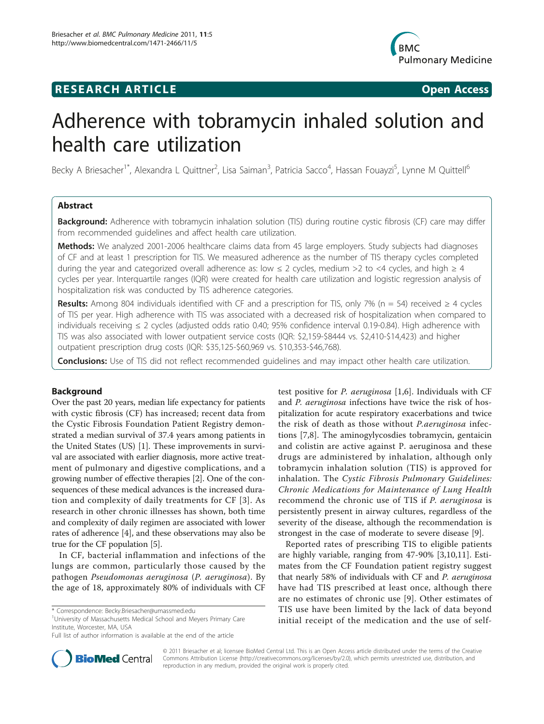## **RESEARCH ARTICLE Example 2018 CONSIDERING ACCESS**



# Adherence with tobramycin inhaled solution and health care utilization

Becky A Briesacher<sup>1\*</sup>, Alexandra L Quittner<sup>2</sup>, Lisa Saiman<sup>3</sup>, Patricia Sacco<sup>4</sup>, Hassan Fouayzi<sup>5</sup>, Lynne M Quittell<sup>6</sup>

## Abstract

**Background:** Adherence with tobramycin inhalation solution (TIS) during routine cystic fibrosis (CF) care may differ from recommended guidelines and affect health care utilization.

Methods: We analyzed 2001-2006 healthcare claims data from 45 large employers. Study subjects had diagnoses of CF and at least 1 prescription for TIS. We measured adherence as the number of TIS therapy cycles completed during the year and categorized overall adherence as: low  $\leq$  2 cycles, medium >2 to <4 cycles, and high  $\geq$  4 cycles per year. Interquartile ranges (IQR) were created for health care utilization and logistic regression analysis of hospitalization risk was conducted by TIS adherence categories.

Results: Among 804 individuals identified with CF and a prescription for TIS, only 7% (n = 54) received  $\geq$  4 cycles of TIS per year. High adherence with TIS was associated with a decreased risk of hospitalization when compared to individuals receiving ≤ 2 cycles (adjusted odds ratio 0.40; 95% confidence interval 0.19-0.84). High adherence with TIS was also associated with lower outpatient service costs (IQR: \$2,159-\$8444 vs. \$2,410-\$14,423) and higher outpatient prescription drug costs (IQR: \$35,125-\$60,969 vs. \$10,353-\$46,768).

**Conclusions:** Use of TIS did not reflect recommended quidelines and may impact other health care utilization.

## Background

Over the past 20 years, median life expectancy for patients with cystic fibrosis (CF) has increased; recent data from the Cystic Fibrosis Foundation Patient Registry demonstrated a median survival of 37.4 years among patients in the United States (US) [[1](#page-5-0)]. These improvements in survival are associated with earlier diagnosis, more active treatment of pulmonary and digestive complications, and a growing number of effective therapies [[2\]](#page-5-0). One of the consequences of these medical advances is the increased duration and complexity of daily treatments for CF [\[3\]](#page-5-0). As research in other chronic illnesses has shown, both time and complexity of daily regimen are associated with lower rates of adherence [\[4](#page-5-0)], and these observations may also be true for the CF population [[5](#page-5-0)].

In CF, bacterial inflammation and infections of the lungs are common, particularly those caused by the pathogen Pseudomonas aeruginosa (P. aeruginosa). By the age of 18, approximately 80% of individuals with CF

<sup>1</sup>University of Massachusetts Medical School and Meyers Primary Care Institute, Worcester, MA, USA

test positive for P. aeruginosa [\[1](#page-5-0),[6\]](#page-5-0). Individuals with CF and *P. aeruginosa* infections have twice the risk of hospitalization for acute respiratory exacerbations and twice the risk of death as those without *P.aeruginosa* infections [[7,8\]](#page-5-0). The aminogylycosdies tobramycin, gentaicin and colistin are active against P. aeruginosa and these drugs are administered by inhalation, although only tobramycin inhalation solution (TIS) is approved for inhalation. The Cystic Fibrosis Pulmonary Guidelines: Chronic Medications for Maintenance of Lung Health recommend the chronic use of TIS if P. aeruginosa is persistently present in airway cultures, regardless of the severity of the disease, although the recommendation is strongest in the case of moderate to severe disease [[9\]](#page-5-0).

Reported rates of prescribing TIS to eligible patients are highly variable, ranging from 47-90% [[3,10,11\]](#page-5-0). Estimates from the CF Foundation patient registry suggest that nearly 58% of individuals with CF and P. aeruginosa have had TIS prescribed at least once, although there are no estimates of chronic use [\[9\]](#page-5-0). Other estimates of TIS use have been limited by the lack of data beyond initial receipt of the medication and the use of self-



© 2011 Briesacher et al; licensee BioMed Central Ltd. This is an Open Access article distributed under the terms of the Creative Commons Attribution License [\(http://creativecommons.org/licenses/by/2.0](http://creativecommons.org/licenses/by/2.0)), which permits unrestricted use, distribution, and reproduction in any medium, provided the original work is properly cited.

<sup>\*</sup> Correspondence: [Becky.Briesacher@umassmed.edu](mailto:Becky.Briesacher@umassmed.edu)

Full list of author information is available at the end of the article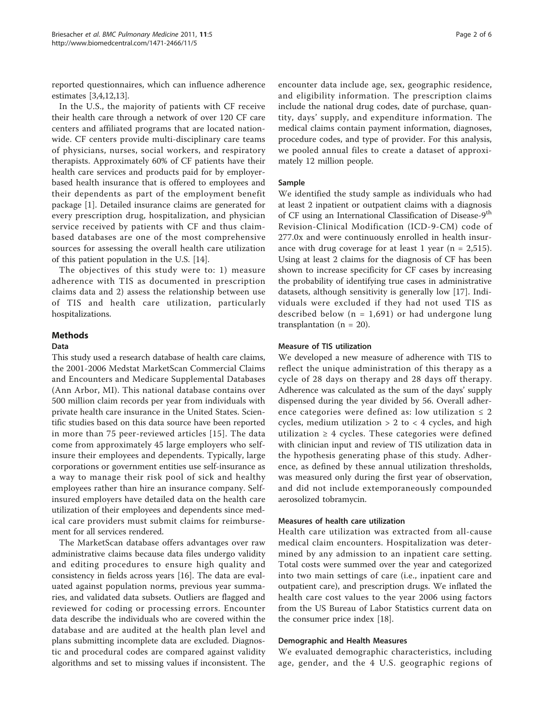reported questionnaires, which can influence adherence estimates [[3,4,12](#page-5-0),[13](#page-5-0)].

In the U.S., the majority of patients with CF receive their health care through a network of over 120 CF care centers and affiliated programs that are located nationwide. CF centers provide multi-disciplinary care teams of physicians, nurses, social workers, and respiratory therapists. Approximately 60% of CF patients have their health care services and products paid for by employerbased health insurance that is offered to employees and their dependents as part of the employment benefit package [[1\]](#page-5-0). Detailed insurance claims are generated for every prescription drug, hospitalization, and physician service received by patients with CF and thus claimbased databases are one of the most comprehensive sources for assessing the overall health care utilization of this patient population in the U.S. [\[14](#page-5-0)].

The objectives of this study were to: 1) measure adherence with TIS as documented in prescription claims data and 2) assess the relationship between use of TIS and health care utilization, particularly hospitalizations.

## Methods

#### Data

This study used a research database of health care claims, the 2001-2006 Medstat MarketScan Commercial Claims and Encounters and Medicare Supplemental Databases (Ann Arbor, MI). This national database contains over 500 million claim records per year from individuals with private health care insurance in the United States. Scientific studies based on this data source have been reported in more than 75 peer-reviewed articles [[15](#page-5-0)]. The data come from approximately 45 large employers who selfinsure their employees and dependents. Typically, large corporations or government entities use self-insurance as a way to manage their risk pool of sick and healthy employees rather than hire an insurance company. Selfinsured employers have detailed data on the health care utilization of their employees and dependents since medical care providers must submit claims for reimbursement for all services rendered.

The MarketScan database offers advantages over raw administrative claims because data files undergo validity and editing procedures to ensure high quality and consistency in fields across years [\[16](#page-5-0)]. The data are evaluated against population norms, previous year summaries, and validated data subsets. Outliers are flagged and reviewed for coding or processing errors. Encounter data describe the individuals who are covered within the database and are audited at the health plan level and plans submitting incomplete data are excluded. Diagnostic and procedural codes are compared against validity algorithms and set to missing values if inconsistent. The

encounter data include age, sex, geographic residence, and eligibility information. The prescription claims include the national drug codes, date of purchase, quantity, days' supply, and expenditure information. The medical claims contain payment information, diagnoses, procedure codes, and type of provider. For this analysis, we pooled annual files to create a dataset of approximately 12 million people.

## Sample

We identified the study sample as individuals who had at least 2 inpatient or outpatient claims with a diagnosis of CF using an International Classification of Disease-9<sup>th</sup> Revision-Clinical Modification (ICD-9-CM) code of 277.0x and were continuously enrolled in health insurance with drug coverage for at least 1 year ( $n = 2,515$ ). Using at least 2 claims for the diagnosis of CF has been shown to increase specificity for CF cases by increasing the probability of identifying true cases in administrative datasets, although sensitivity is generally low [\[17](#page-5-0)]. Individuals were excluded if they had not used TIS as described below ( $n = 1,691$ ) or had undergone lung transplantation ( $n = 20$ ).

## Measure of TIS utilization

We developed a new measure of adherence with TIS to reflect the unique administration of this therapy as a cycle of 28 days on therapy and 28 days off therapy. Adherence was calculated as the sum of the days' supply dispensed during the year divided by 56. Overall adherence categories were defined as: low utilization  $\leq 2$ cycles, medium utilization  $> 2$  to  $< 4$  cycles, and high utilization  $\geq 4$  cycles. These categories were defined with clinician input and review of TIS utilization data in the hypothesis generating phase of this study. Adherence, as defined by these annual utilization thresholds, was measured only during the first year of observation, and did not include extemporaneously compounded aerosolized tobramycin.

## Measures of health care utilization

Health care utilization was extracted from all-cause medical claim encounters. Hospitalization was determined by any admission to an inpatient care setting. Total costs were summed over the year and categorized into two main settings of care (i.e., inpatient care and outpatient care), and prescription drugs. We inflated the health care cost values to the year 2006 using factors from the US Bureau of Labor Statistics current data on the consumer price index [\[18\]](#page-5-0).

#### Demographic and Health Measures

We evaluated demographic characteristics, including age, gender, and the 4 U.S. geographic regions of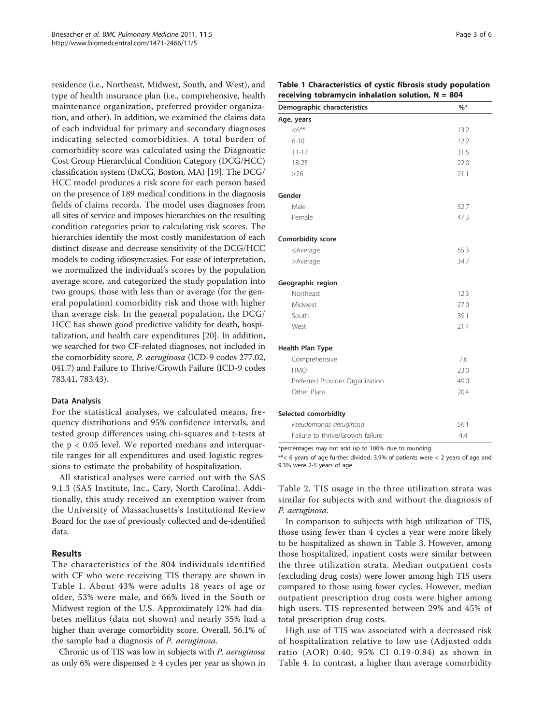residence (i.e., Northeast, Midwest, South, and West), and type of health insurance plan (i.e., comprehensive, health maintenance organization, preferred provider organization, and other). In addition, we examined the claims data of each individual for primary and secondary diagnoses indicating selected comorbidities. A total burden of comorbidity score was calculated using the Diagnostic Cost Group Hierarchical Condition Category (DCG/HCC) classification system (DxCG, Boston, MA) [\[19\]](#page-5-0). The DCG/ HCC model produces a risk score for each person based on the presence of 189 medical conditions in the diagnosis fields of claims records. The model uses diagnoses from all sites of service and imposes hierarchies on the resulting condition categories prior to calculating risk scores. The hierarchies identify the most costly manifestation of each distinct disease and decrease sensitivity of the DCG/HCC models to coding idiosyncrasies. For ease of interpretation, we normalized the individual's scores by the population average score, and categorized the study population into two groups, those with less than or average (for the general population) comorbidity risk and those with higher than average risk. In the general population, the DCG/ HCC has shown good predictive validity for death, hospitalization, and health care expenditures [[20\]](#page-5-0). In addition, we searched for two CF-related diagnoses, not included in the comorbidity score, P. aeruginosa (ICD-9 codes 277.02, 041.7) and Failure to Thrive/Growth Failure (ICD-9 codes 783.41, 783.43).

## Data Analysis

For the statistical analyses, we calculated means, frequency distributions and 95% confidence intervals, and tested group differences using chi-squares and t-tests at the p < 0.05 level. We reported medians and interquartile ranges for all expenditures and used logistic regressions to estimate the probability of hospitalization.

All statistical analyses were carried out with the SAS 9.1.3 (SAS Institute, Inc., Cary, North Carolina). Additionally, this study received an exemption waiver from the University of Massachusetts's Institutional Review Board for the use of previously collected and de-identified data.

## Results

The characteristics of the 804 individuals identified with CF who were receiving TIS therapy are shown in Table 1. About 43% were adults 18 years of age or older, 53% were male, and 66% lived in the South or Midwest region of the U.S. Approximately 12% had diabetes mellitus (data not shown) and nearly 35% had a higher than average comorbidity score. Overall, 56.1% of the sample had a diagnosis of P. aeruginosa.

Chronic us of TIS was low in subjects with P. aeruginosa as only 6% were dispensed  $\geq$  4 cycles per year as shown in

| Table 1 Characteristics of cystic fibrosis study population |  |
|-------------------------------------------------------------|--|
| receiving tobramycin inhalation solution, $N = 804$         |  |

| Demographic characteristics      | $\%$ * |
|----------------------------------|--------|
| Age, years                       |        |
| $<6***$                          | 13.2   |
| $6 - 10$                         | 12.2   |
| $11 - 17$                        | 31.5   |
| 18-25                            | 22.0   |
| $\geq$ 26                        | 21.1   |
| Gender                           |        |
| Male                             | 52.7   |
| Female                           | 47.3   |
| Comorbidity score                |        |
| ≤Average                         | 65.3   |
| >Average                         | 34.7   |
| Geographic region                |        |
| Northeast                        | 12.3   |
| Midwest                          | 27.0   |
| South                            | 39.1   |
| West                             | 21.4   |
| <b>Health Plan Type</b>          |        |
| Comprehensive                    | 7.6    |
| <b>HMO</b>                       | 23.0   |
| Preferred Provider Organization  | 49.0   |
| Other Plans                      | 20.4   |
| Selected comorbidity             |        |
| Pseudomonas aeruginosa           | 56.1   |
| Failure to thrive/Growth failure | 4.4    |

\*percentages may not add up to 100% due to rounding.

\*\*< 6 years of age further divided; 3.9% of patients were < 2 years of age and 9.3% were 2-5 years of age.

Table [2](#page-3-0). TIS usage in the three utilization strata was similar for subjects with and without the diagnosis of P. aeruginosa.

In comparison to subjects with high utilization of TIS, those using fewer than 4 cycles a year were more likely to be hospitalized as shown in Table [3.](#page-3-0) However, among those hospitalized, inpatient costs were similar between the three utilization strata. Median outpatient costs (excluding drug costs) were lower among high TIS users compared to those using fewer cycles. However, median outpatient prescription drug costs were higher among high users. TIS represented between 29% and 45% of total prescription drug costs.

High use of TIS was associated with a decreased risk of hospitalization relative to low use (Adjusted odds ratio (AOR) 0.40; 95% CI 0.19-0.84) as shown in Table [4.](#page-4-0) In contrast, a higher than average comorbidity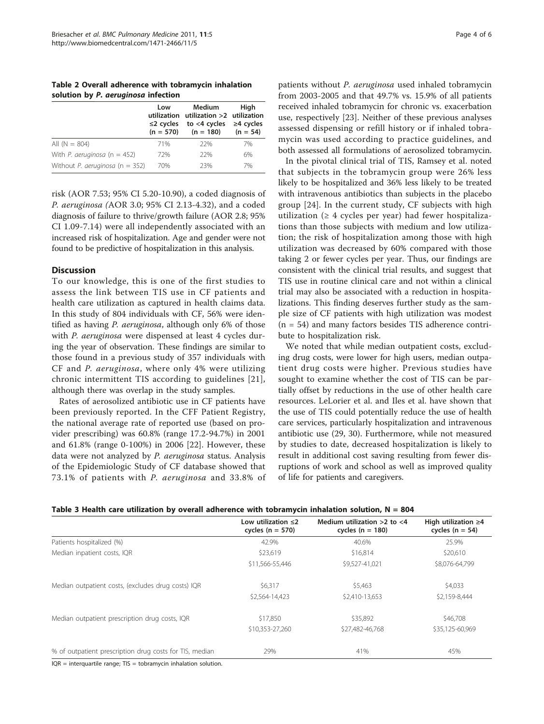<span id="page-3-0"></span>Table 2 Overall adherence with tobramycin inhalation solution by P. aeruginosa infection

|                                     | Low<br>$\leq$ cycles<br>$(n = 570)$ | Medium<br>utilization utilization >2 utilization<br>to $<$ 4 cycles<br>$(n = 180)$ | High<br>$\geq$ 4 cycles<br>$(n = 54)$ |
|-------------------------------------|-------------------------------------|------------------------------------------------------------------------------------|---------------------------------------|
| All $(N = 804)$                     | 71%                                 | 22%                                                                                | 7%                                    |
| With P. aeruginosa ( $n = 452$ )    | 72%                                 | 22%                                                                                | 6%                                    |
| Without P. aeruginosa ( $n = 352$ ) | 70%                                 | 23%                                                                                | 7%                                    |

risk (AOR 7.53; 95% CI 5.20-10.90), a coded diagnosis of P. aeruginosa (AOR 3.0; 95% CI 2.13-4.32), and a coded diagnosis of failure to thrive/growth failure (AOR 2.8; 95% CI 1.09-7.14) were all independently associated with an increased risk of hospitalization. Age and gender were not found to be predictive of hospitalization in this analysis.

## **Discussion**

To our knowledge, this is one of the first studies to assess the link between TIS use in CF patients and health care utilization as captured in health claims data. In this study of 804 individuals with CF, 56% were identified as having P. aeruginosa, although only 6% of those with P. aeruginosa were dispensed at least 4 cycles during the year of observation. These findings are similar to those found in a previous study of 357 individuals with CF and P. aeruginosa, where only 4% were utilizing chronic intermittent TIS according to guidelines [[21\]](#page-5-0), although there was overlap in the study samples.

Rates of aerosolized antibiotic use in CF patients have been previously reported. In the CFF Patient Registry, the national average rate of reported use (based on provider prescribing) was 60.8% (range 17.2-94.7%) in 2001 and 61.8% (range 0-100%) in 2006 [[22\]](#page-5-0). However, these data were not analyzed by P. aeruginosa status. Analysis of the Epidemiologic Study of CF database showed that 73.1% of patients with P. aeruginosa and 33.8% of

patients without P. aeruginosa used inhaled tobramycin from 2003-2005 and that 49.7% vs. 15.9% of all patients received inhaled tobramycin for chronic vs. exacerbation use, respectively [\[23](#page-5-0)]. Neither of these previous analyses assessed dispensing or refill history or if inhaled tobramycin was used according to practice guidelines, and both assessed all formulations of aerosolized tobramycin.

In the pivotal clinical trial of TIS, Ramsey et al. noted that subjects in the tobramycin group were 26% less likely to be hospitalized and 36% less likely to be treated with intravenous antibiotics than subjects in the placebo group [[24](#page-5-0)]. In the current study, CF subjects with high utilization ( $\geq 4$  cycles per year) had fewer hospitalizations than those subjects with medium and low utilization; the risk of hospitalization among those with high utilization was decreased by 60% compared with those taking 2 or fewer cycles per year. Thus, our findings are consistent with the clinical trial results, and suggest that TIS use in routine clinical care and not within a clinical trial may also be associated with a reduction in hospitalizations. This finding deserves further study as the sample size of CF patients with high utilization was modest (n = 54) and many factors besides TIS adherence contribute to hospitalization risk.

We noted that while median outpatient costs, excluding drug costs, were lower for high users, median outpatient drug costs were higher. Previous studies have sought to examine whether the cost of TIS can be partially offset by reductions in the use of other health care resources. LeLorier et al. and Iles et al. have shown that the use of TIS could potentially reduce the use of health care services, particularly hospitalization and intravenous antibiotic use (29, 30). Furthermore, while not measured by studies to date, decreased hospitalization is likely to result in additional cost saving resulting from fewer disruptions of work and school as well as improved quality of life for patients and caregivers.

|                                                         | Low utilization $\leq 2$<br>cycles ( $n = 570$ ) | Medium utilization $>2$ to $<$ 4<br>cycles ( $n = 180$ ) | High utilization $\geq 4$<br>cycles $(n = 54)$ |
|---------------------------------------------------------|--------------------------------------------------|----------------------------------------------------------|------------------------------------------------|
| Patients hospitalized (%)                               | 42.9%                                            | 40.6%                                                    | 25.9%                                          |
| Median inpatient costs, IQR                             | \$23,619                                         | \$16.814                                                 | \$20,610                                       |
|                                                         | \$11,566-55,446                                  | \$9,527-41,021                                           | \$8,076-64,799                                 |
| Median outpatient costs, (excludes drug costs) IQR      | \$6.317                                          | \$5,463                                                  | \$4.033                                        |
|                                                         | \$2,564-14,423                                   | \$2,410-13,653                                           | \$2,159-8,444                                  |
| Median outpatient prescription drug costs, IQR          | \$17,850                                         | \$35,892                                                 | \$46,708                                       |
|                                                         | \$10,353-27,260                                  | \$27,482-46,768                                          | \$35,125-60,969                                |
| % of outpatient prescription drug costs for TIS, median | 29%                                              | 41%                                                      | 45%                                            |

 $IQR =$  interquartile range;  $TIS =$  tobramycin inhalation solution.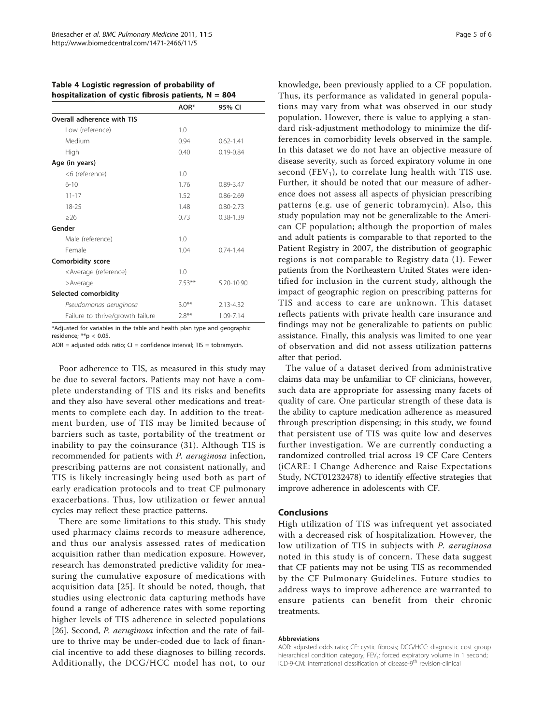<span id="page-4-0"></span>Table 4 Logistic regression of probability of hospitalization of cystic fibrosis patients,  $N = 804$ 

|                                  | AOR*      | 95% CI        |
|----------------------------------|-----------|---------------|
| Overall adherence with TIS       |           |               |
| Low (reference)                  | 1.0       |               |
| Medium                           | 0.94      | $0.62 - 1.41$ |
| High                             | 0.40      | $0.19 - 0.84$ |
| Age (in years)                   |           |               |
| <6 (reference)                   | 1.0       |               |
| $6 - 10$                         | 1.76      | 0.89-3.47     |
| $11 - 17$                        | 1.52      | $0.86 - 2.69$ |
| $18 - 25$                        | 1.48      | $0.80 - 2.73$ |
| >26                              | 0.73      | $0.38 - 1.39$ |
| Gender                           |           |               |
| Male (reference)                 | 1.0       |               |
| Female                           | 1.04      | $0.74 - 1.44$ |
| <b>Comorbidity score</b>         |           |               |
| ≤Average (reference)             | 1.0       |               |
| >Average                         | $7.53***$ | 5.20-10.90    |
| Selected comorbidity             |           |               |
| Pseudomonas aeruginosa           | $3.0***$  | 2.13-4.32     |
| Failure to thrive/growth failure | $28**$    | 1.09-7.14     |

\*Adjusted for variables in the table and health plan type and geographic residence:  $**$ p < 0.05.

 $AOR =$  adjusted odds ratio;  $CI =$  confidence interval;  $TIS =$  tobramycin.

Poor adherence to TIS, as measured in this study may be due to several factors. Patients may not have a complete understanding of TIS and its risks and benefits and they also have several other medications and treatments to complete each day. In addition to the treatment burden, use of TIS may be limited because of barriers such as taste, portability of the treatment or inability to pay the coinsurance (31). Although TIS is recommended for patients with P. aeruginosa infection, prescribing patterns are not consistent nationally, and TIS is likely increasingly being used both as part of early eradication protocols and to treat CF pulmonary exacerbations. Thus, low utilization or fewer annual cycles may reflect these practice patterns.

There are some limitations to this study. This study used pharmacy claims records to measure adherence, and thus our analysis assessed rates of medication acquisition rather than medication exposure. However, research has demonstrated predictive validity for measuring the cumulative exposure of medications with acquisition data [[25](#page-5-0)]. It should be noted, though, that studies using electronic data capturing methods have found a range of adherence rates with some reporting higher levels of TIS adherence in selected populations [[26\]](#page-5-0). Second, P. aeruginosa infection and the rate of failure to thrive may be under-coded due to lack of financial incentive to add these diagnoses to billing records. Additionally, the DCG/HCC model has not, to our knowledge, been previously applied to a CF population. Thus, its performance as validated in general populations may vary from what was observed in our study population. However, there is value to applying a standard risk-adjustment methodology to minimize the differences in comorbidity levels observed in the sample. In this dataset we do not have an objective measure of disease severity, such as forced expiratory volume in one second (FEV<sub>1</sub>), to correlate lung health with TIS use. Further, it should be noted that our measure of adherence does not assess all aspects of physician prescribing patterns (e.g. use of generic tobramycin). Also, this study population may not be generalizable to the American CF population; although the proportion of males and adult patients is comparable to that reported to the Patient Registry in 2007, the distribution of geographic regions is not comparable to Registry data (1). Fewer patients from the Northeastern United States were identified for inclusion in the current study, although the impact of geographic region on prescribing patterns for TIS and access to care are unknown. This dataset reflects patients with private health care insurance and findings may not be generalizable to patients on public assistance. Finally, this analysis was limited to one year of observation and did not assess utilization patterns after that period.

The value of a dataset derived from administrative claims data may be unfamiliar to CF clinicians, however, such data are appropriate for assessing many facets of quality of care. One particular strength of these data is the ability to capture medication adherence as measured through prescription dispensing; in this study, we found that persistent use of TIS was quite low and deserves further investigation. We are currently conducting a randomized controlled trial across 19 CF Care Centers (iCARE: I Change Adherence and Raise Expectations Study, NCT01232478) to identify effective strategies that improve adherence in adolescents with CF.

## Conclusions

High utilization of TIS was infrequent yet associated with a decreased risk of hospitalization. However, the low utilization of TIS in subjects with P. aeruginosa noted in this study is of concern. These data suggest that CF patients may not be using TIS as recommended by the CF Pulmonary Guidelines. Future studies to address ways to improve adherence are warranted to ensure patients can benefit from their chronic treatments.

#### Abbreviations

AOR: adjusted odds ratio; CF: cystic fibrosis; DCG/HCC: diagnostic cost group hierarchical condition category; FEV<sub>1</sub>: forced expiratory volume in 1 second; ICD-9-CM: international classification of disease-9<sup>th</sup> revision-clinical